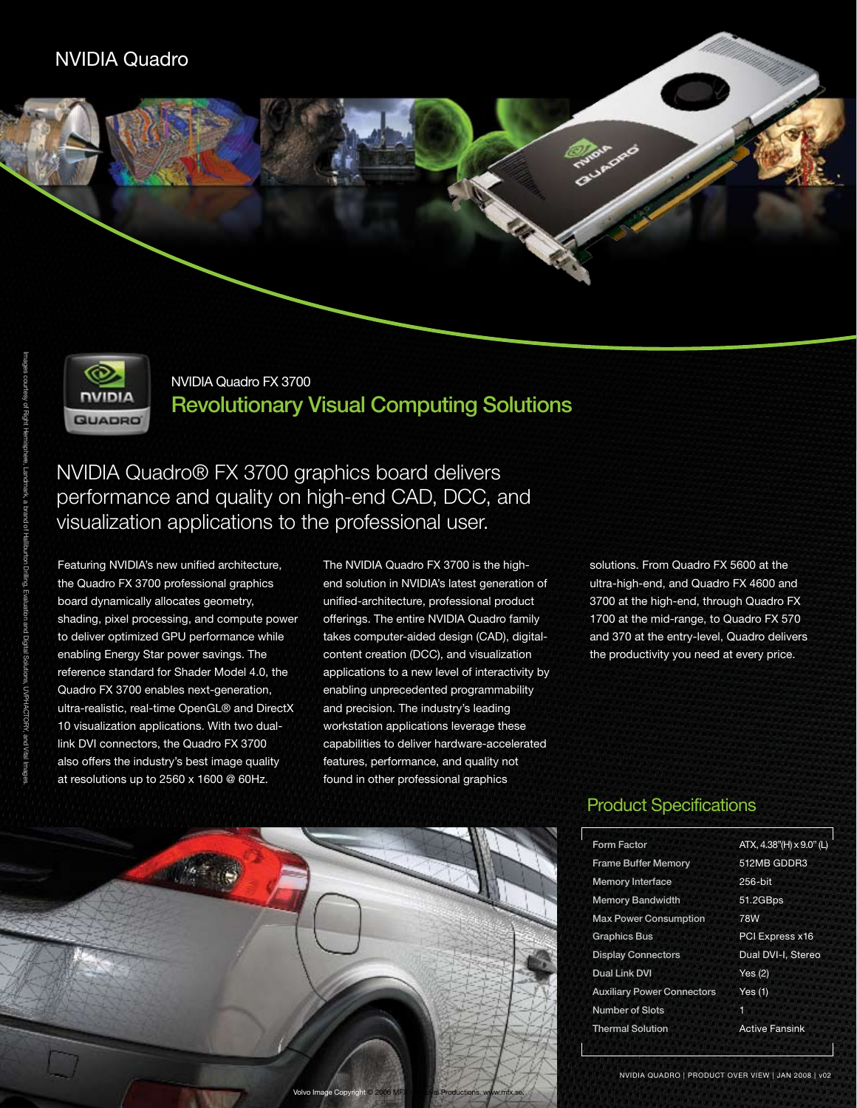

NVIDIA Quadro FX 3700 Revolutionary Visual Computing Solutions

NVIDIA Quadro® FX 3700 graphics board delivers performance and quality on high-end CAD, DCC, and visualization applications to the professional user.

Featuring NVIDIA's new unified architecture, the Quadro FX 3700 professional graphics board dynamically allocates geometry, shading, pixel processing, and compute power to deliver optimized GPU performance while enabling Energy Star power savings. The reference standard for Shader Model 4.0, the Quadro FX 3700 enables next-generation, ultra-realistic, real-time OpenGL® and DirectX 10 visualization applications. With two duallink DVI connectors, the Quadro FX 3700 also offers the industry's best image quality at resolutions up to 2560 x 1600 @ 60Hz.

The NVIDIA Quadro FX 3700 is the highend solution in NVIDIA's latest generation of unified-architecture, professional product offerings. The entire NVIDIA Quadro family takes computer-aided design (CAD), digitalcontent creation (DCC), and visualization applications to a new level of interactivity by enabling unprecedented programmability and precision. The industry's leading workstation applications leverage these capabilities to deliver hardware-accelerated features, performance, and quality not found in other professional graphics

solutions. From Quadro FX 5600 at the ultra-high-end, and Quadro FX 4600 and 3700 at the high-end, through Quadro FX 1700 at the mid-range, to Quadro FX 570 and 370 at the entry-level, Quadro delivers the productivity you need at every price.



## Product Specifications

| <b>Form Factor</b>                | ATX, 4.38"(H) x 9.0" (L) |
|-----------------------------------|--------------------------|
| <b>Frame Buffer Memory</b>        | 512MB GDDR3              |
| <b>Memory Interface</b>           | 256-bit                  |
| <b>Memory Bandwidth</b>           | 51.2GBps                 |
| <b>Max Power Consumption</b>      | 78W                      |
| <b>Graphics Bus</b>               | PCI Express x16          |
| <b>Display Connectors</b>         | Dual DVI-I, Stereo       |
| <b>Dual Link DVI</b>              | Yes $(2)$                |
| <b>Auxiliary Power Connectors</b> | Yes(1)                   |
| <b>Number of Slots</b>            | 1                        |
| <b>Thermal Solution</b>           | <b>Active Fansink</b>    |
|                                   |                          |